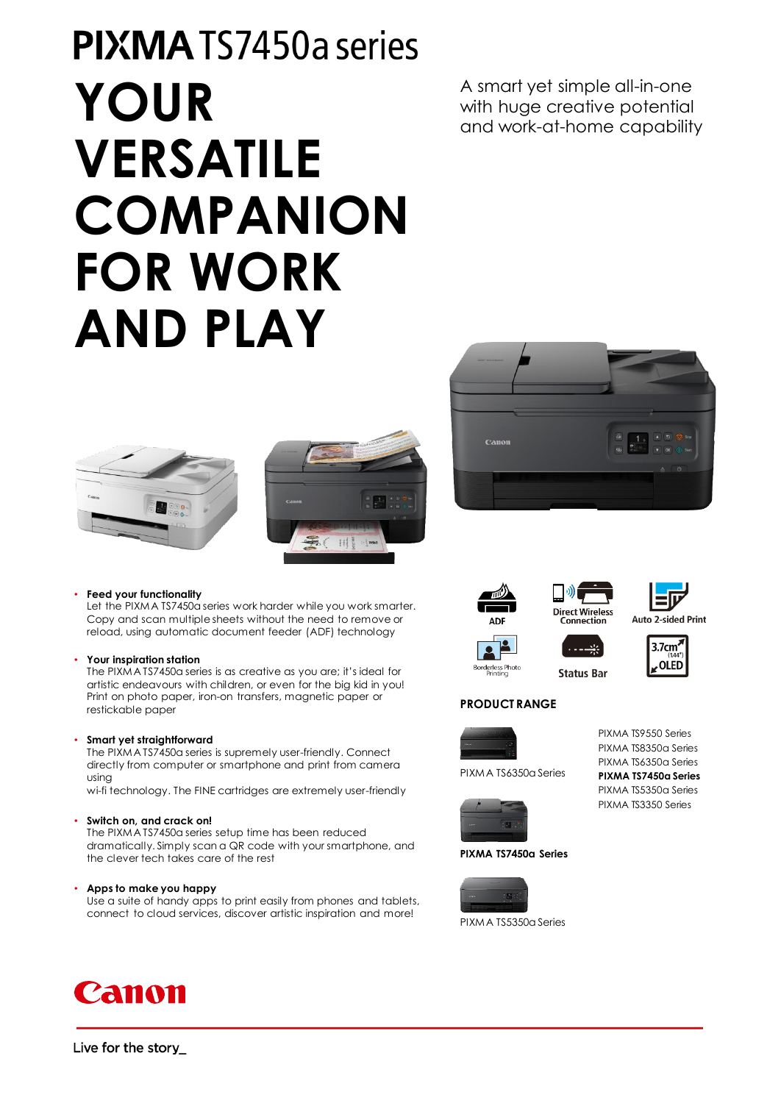# **PIXMATS7450a series YOUR VERSATILE COMPANION FOR WORK AND PLAY**

Let the PIXMA TS7450a series work harder while you work smarter. Copy and scan multiple sheets without the need to remove or reload, using automatic document feeder (ADF) technology

The PIXMA TS7450a series is as creative as you are; it's ideal for artistic endeavours with children, or even for the big kid in you! Print on photo paper, iron-on transfers, magnetic paper or

The PIXMA TS7450a series is supremely user-friendly. Connect directly from computer or smartphone and print from camera

wi-fi technology. The FINE cartridges are extremely user-friendly

dramatically. Simply scan a QR code with your smartphone, and

Use a suite of handy apps to print easily from phones and tablets, connect to cloud services, discover artistic inspiration and more!

The PIXMA TS7450a series setup time has been reduced

A smart yet simple all-in-one with huge creative potential and work-at-home capability













**Auto 2-sided Print** 

Borderless Photo<br>Printing





### **PRODUCT RANGE**



PIXMA TS6350a Series



**PIXMA TS7450a Series**



PIXMA TS5350a Series

PIXMA TS9550 Series PIXMA TS8350a Series PIXMA TS6350a Series **PIXMA TS7450a Series** PIXMA TS5350a Series PIXMA TS3350 Series



• **Feed your functionality**

• **Your inspiration station**

restickable paper

using

• **Smart yet straightforward**

• **Switch on, and crack on!**

• **Apps to make you happy**

the clever tech takes care of the rest









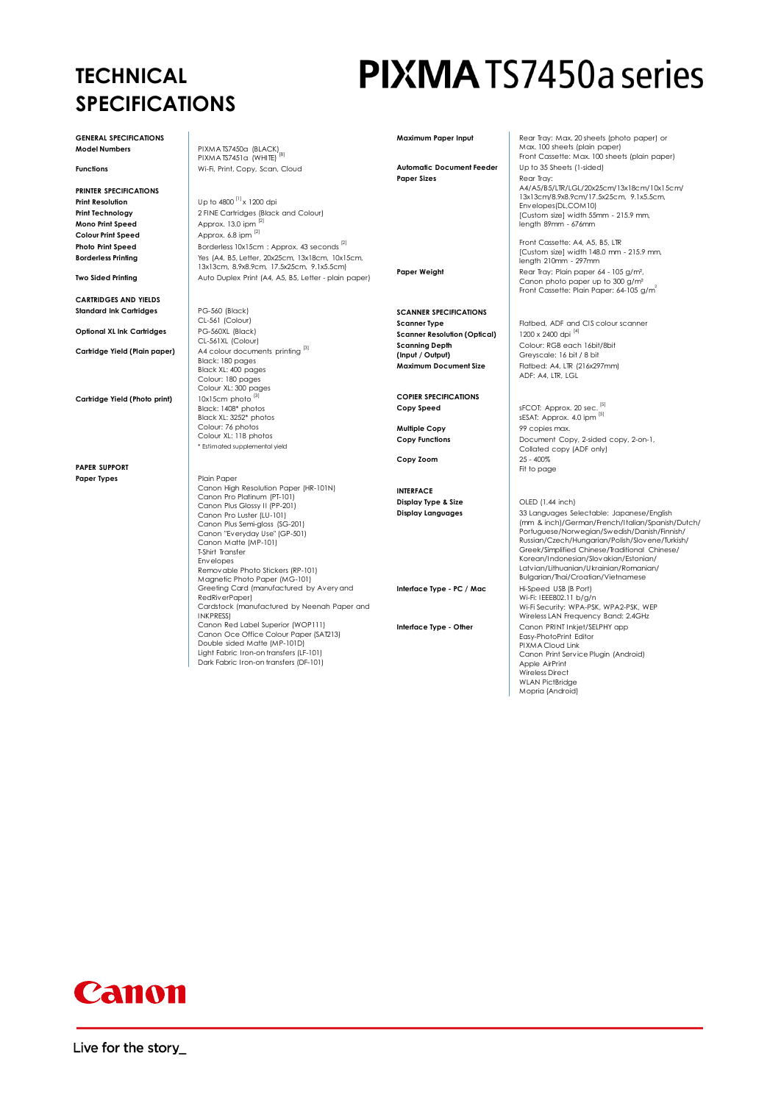## **TECHNICAL SPECIFICATIONS**

**GENERAL SPECIFICATIONS**

**PRINTER SPECIFICATIONS Print Resolution**<br> **Print Technology**<br> **Print Technology**<br>
2 FINE Cartridges (Black **Mono Print Speed** Approx. 13.0 ipm  $^{2}$ <br> **Colour Print Speed** Approx. 6.8 ipm  $^{2}$ **Colour Print Speed** 

**CARTRIDGES AND YIELDS Standard Ink Cartridges** 

**Optional XL Ink Cartridges** 

**Cartridge Yield (Photo print)** 10x15cm photo

**PAPER SUPPORT** Paper Types **Plain Paper** Plain Paper

**GENERAL SPECIFICATIONS**<br>**Model Numbers** PIXMA TS7450a (BLACK) PIXMA TS7451a (WHITE) **Functions** Wi-Fi, Print, Copy, Scan, Cloud

2 FINE Cartridges (Black and Colour)<br>Approx. 13.0 ipm <sup>[2]</sup> **Photo Print Speed** Borderless 10x15cm : Approx. 43 seconds <sup>[2]</sup> **Borderless Printing** Yes (A4, B5, Letter, 20x25cm, 13x18cm, 10x15cm, 13x13cm, 8.9x8.9cm, 17.5x25cm, 9.1x5.5cm) **Two Sided Printing** Auto Duplex Print (A4, A5, B5, Letter - plain paper)

PG-560 (Black)<br>CL-561 (Colour)<br>PG-560XL (Black) CL-561XL (Colour) **Cartridge Yield (Plain paper)** A4 colour documents printing [3] Black: 180 pages Black XL: 400 pages Colour: 180 pages Colour XL: 300 pages Black: 1408\* photos Black XL: 3252\* photos Colour: 76 photos Colour XL: 118 photos \* Estimated supplemental yield

> Canon High Resolution Paper (HR-101N) Canon Pro Platinum (PT-101) Canon Plus Glossy II (PP-201) Canon Pro Luster (LU-101) Canon Plus Semi-gloss (SG-201) Canon "Everyday Use" (GP-501) Canon Matte (MP-101) T-Shirt Transfer Envelopes Removable Photo Stickers (RP-101) Magnetic Photo Paper (MG-101) Greeting Card (manufactured by Avery and RedRiverPaper) Cardstock (manufactured by Neenah Paper and INKPRESS) Canon Red Label Superior (WOP111) Canon Oce Office Colour Paper (SAT213) Double sided Matte (MP-101D) Light Fabric Iron-on transfers (LF-101) Dark Fabric Iron-on transfers (DF-101)

## **PIXMA** TS7450a series

**Maximum Paper Input** Rear Tray: Max. 20 sheets (photo paper) or

Max. 100 sheets (plain paper) Front Cassette: Max. 100 sheets (plain paper) Automatic Document Feeder Up to 35 Sheets (1-sided) **Paper Sizes** Rear Tray: A4/A5/B5/LTR/LGL/20x25cm/13x18cm/10x15cm/ 13x13cm/8.9x8.9cm/17.5x25cm, 9.1x5.5cm, Envelopes(DL,COM10) [Custom size] width 55mm - 215.9 mm, length 89mm - 676mm Front Cassette: A4, A5, B5, LTR [Custom size] width 148.0 mm - 215.9 mm, length 210mm - 297mm **Paper Weight** Rear Tray: Plain paper 64 - 105 g/m<sup>2</sup>, Canon photo paper up to 300 g/m²<br>Front Cassette: Plain Paper: 64-105 g/m<sup>3</sup> **SCANNER SPECIFICATIONS Scanner Type** Flatbed, ADF and CIS colour scanner **Scanner Resolution (Optical)** 1200 x 2400 dpi <sup>[4]</sup> **Scanning Depth (Input / Output)** Colour: RGB each 16bit/8bit Greyscale: 16 bit / 8 bit **Maximum Document Size** Flatbed: A4, LTR (216x297mm) ADF: A4, LTR, LGL **COPIER SPECIFICATIONS sFCOT:** Approx. 20 sec.  $\frac{[5]}{[5]}$ sESAT: Approx. 4.0 ipm **Multiple Copy 199 copies max. Copy Functions Document Copy, 2-sided copy, 2-on-1,** Collated copy (ADF only) **Copy Zoom** Fit to page **INTERFACE Display Type & Size OLED** (1.44 inch) **Display Languages** 33 Languages Selectable: Japanese/English (mm & inch)/German/French/Italian/Spanish/Dutch/ Portuguese/Norwegian/Swedish/Danish/Finnish/ Russian/Czech/Hungarian/Polish/Slovene/Turkish/ Greek/Simplified Chinese/Traditional Chinese/ Korean/Indonesian/Slovakian/Estonian/ Latvian/Lithuanian/Ukrainian/Romanian/ Bulgarian/Thai/Croatian/Vietnamese **Interface Type - PC / Mac** Hi-Speed USB (B Port) Wi-Fi: IEEE802.11 b/g/n Wi-Fi Security: WPA-PSK, WPA2-PSK, WEP Wireless LAN Frequency Band: 2.4GHz **Interface Type - Other** Canon PRINT Inkiet/SELPHY app Easy-PhotoPrint Editor PIXMA Cloud Link Canon Print Service Plugin (Android) Apple AirPrint Wireless Direct WLAN PictBridge Mopria (Android)

## Canon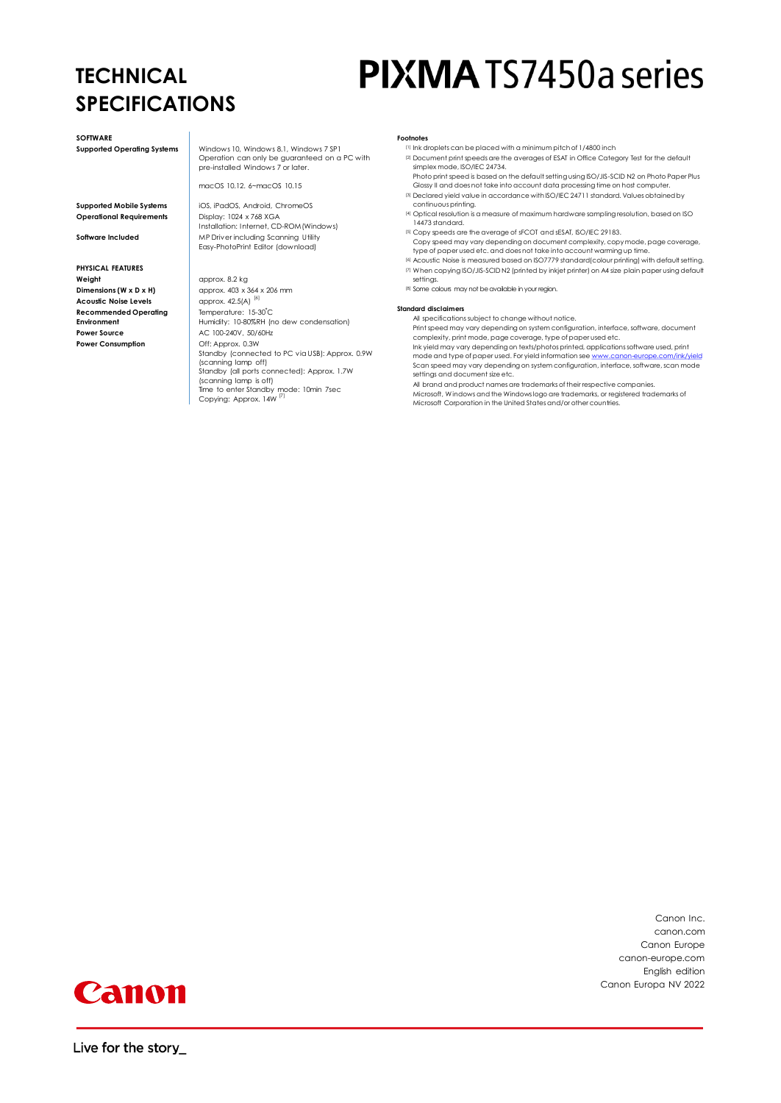## **TECHNICAL SPECIFICATIONS**

# **PIXMA** TS7450a series

**SOFTWARE** 

**Operational Requirements** 

**PHYSICAL FEATURES Weight** approx. 8.2 kg **Dimensions (W x D x H)** approx. 403 x 364 x 206 mm **Acoustic Noise Levels** approx. 42.5(A) <sup>[6]</sup> **Recommended Operating Environment Power Source AC 100-240V, 50/60Hz Power Consumption Demand Off: Approx. 0.3W** 

**Supported Operating Systems** Windows 10, Windows 8.1, Windows 7 SP1 Operation can only be guaranteed on a PC with pre-installed Windows 7 or later.

macOS 10.12. 6~macOS 10.15

**Supported Mobile Systems** iOS, iPadOS, Android, ChromeOS Display: 1024 x 768 XGA<br>Installation: Internet, CD-ROM(Windows) **Software Included** MP Driver including Scanning Utility Easy-PhotoPrint Editor (download)

Temperature: 15-30°C Humidity: 10-80%RH (no dew condensation) Standby (connected to PC via USB): Approx. 0.9W

- (scanning lamp off) Standby (all ports connected): Approx. 1.7W
- (scanning lamp is off)<br>Time to enter Standby mode: 10min 7sec<br>Copying: Approx. 14W <sup>[7]</sup>
- **Footnotes**
	- $\frac{1}{10}$  ink droplets can be placed with a minimum pitch of 1/4800 inch <sup>[2]</sup> Document print speeds are the averages of ESAT in Office Category Test for the default
	- simplex mode, ISO/IEC 24734. Photo print speed is based on the default setting using ISO/JIS-SCID N2 on Photo Paper Plus
	- Glossy II and does not take into account data processing time on host computer. [3] Declared yield value in accordance with ISO/IEC 24711 standard. Values obtained by
	- continuous printing. [4] Optical resolution is a measure of maximum hardware sampling resolution, based on ISO
	- 14473 standard. [5] Copy speeds are the average of sFCOT and sESAT, ISO/IEC 29183. Copy speed may vary depending on document complexity, copy mode, page coverage, type of paper used etc. and does not take into account warming up time.
	- [6] Acoustic Noise is measured based on ISO7779 standard(colour printing) with default setting.
	- [7] When copying ISO/JIS-SCID N2 (printed by inkjet printer) on A4 size plain paper using default settings.
	- [8] Some colours may not be available in your region.

#### **Standard disclaimers**

All specifications subject to change without notice.

Print speed may vary depending on system configuration, interface, software, document complexity, print mode, page coverage, type of paper used etc.

Ink yield may vary depending on texts/photos printed, applications software used, print<br>mode and type of paper used. For yield information see www.canon-europe.com/ink/vield mode and type of paper used. For yield information see www.canon-eu Scan speed may vary depending on system configuration, interface, software, scan mode settings and document size etc.

All brand and product names are trademarks of their respective companies. Microsoft, Windows and the Windows logo are trademarks, or registered trademarks of

Microsoft Corporation in the United States and/or other countries.

Canon Inc. canon.com Canon Europe canon-europe.com English edition Canon Europa NV 2022